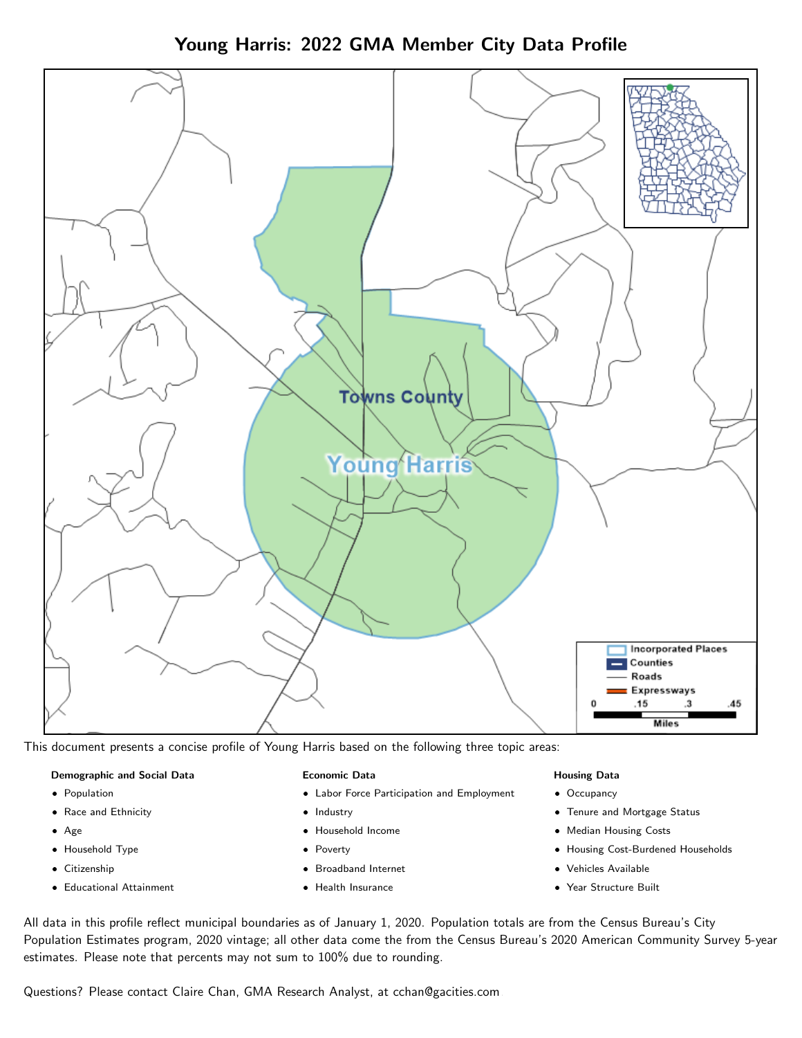



This document presents a concise profile of Young Harris based on the following three topic areas:

#### Demographic and Social Data

- **•** Population
- Race and Ethnicity
- Age
- Household Type
- **Citizenship**
- Educational Attainment

#### Economic Data

- Labor Force Participation and Employment
- Industry
- Household Income
- Poverty
- Broadband Internet
- Health Insurance

#### Housing Data

- Occupancy
- Tenure and Mortgage Status
- Median Housing Costs
- Housing Cost-Burdened Households
- Vehicles Available
- Year Structure Built

All data in this profile reflect municipal boundaries as of January 1, 2020. Population totals are from the Census Bureau's City Population Estimates program, 2020 vintage; all other data come the from the Census Bureau's 2020 American Community Survey 5-year estimates. Please note that percents may not sum to 100% due to rounding.

Questions? Please contact Claire Chan, GMA Research Analyst, at [cchan@gacities.com.](mailto:cchan@gacities.com)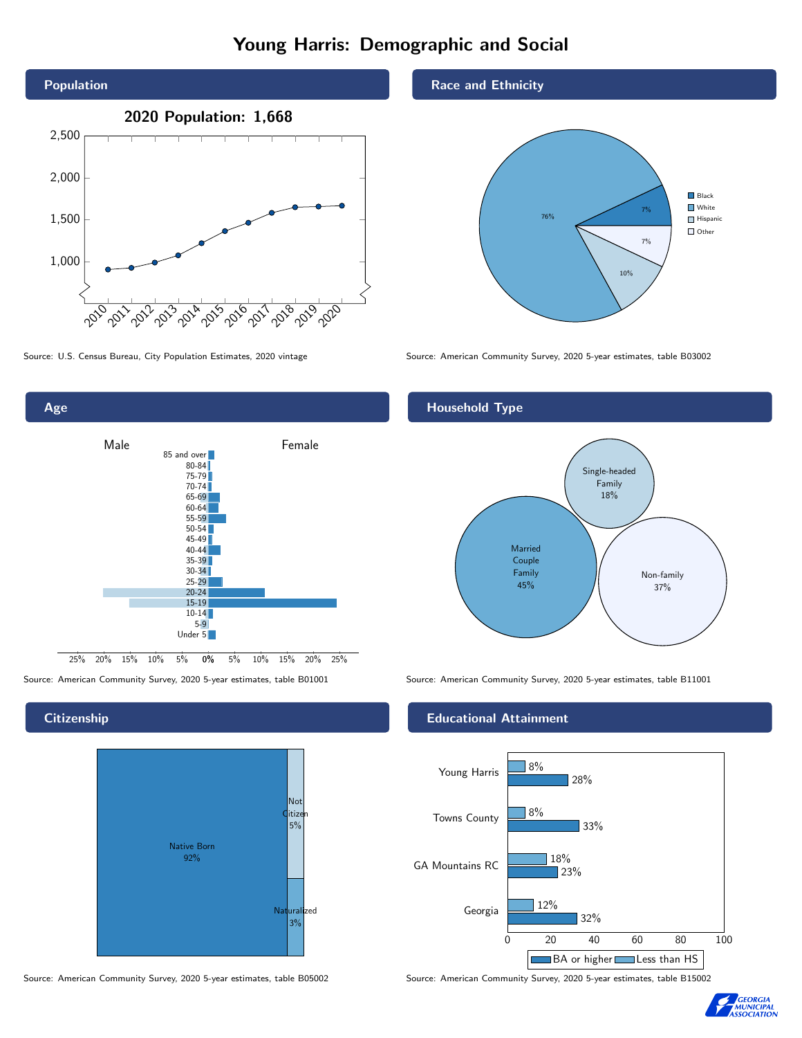# Young Harris: Demographic and Social







**Citizenship** 



Source: American Community Survey, 2020 5-year estimates, table B05002 Source: American Community Survey, 2020 5-year estimates, table B15002

Race and Ethnicity



### Household Type



Source: American Community Survey, 2020 5-year estimates, table B01001 Source: American Community Survey, 2020 5-year estimates, table B11001

#### Educational Attainment



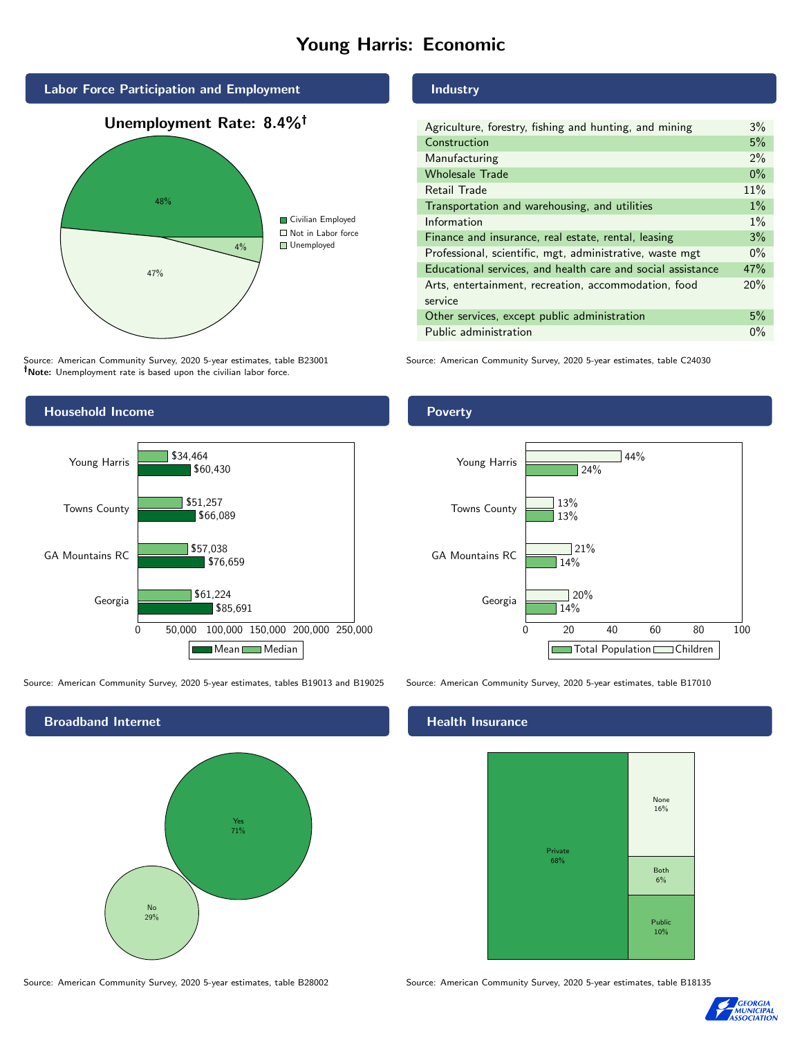# Young Harris: Economic



Source: American Community Survey, 2020 5-year estimates, table B23001 Note: Unemployment rate is based upon the civilian labor force.

#### Industry

Poverty

| Agriculture, forestry, fishing and hunting, and mining      | 3%    |
|-------------------------------------------------------------|-------|
| Construction                                                | 5%    |
| Manufacturing                                               | 2%    |
| <b>Wholesale Trade</b>                                      | $0\%$ |
| Retail Trade                                                | 11%   |
| Transportation and warehousing, and utilities               | $1\%$ |
| Information                                                 | $1\%$ |
| Finance and insurance, real estate, rental, leasing         | 3%    |
| Professional, scientific, mgt, administrative, waste mgt    | $0\%$ |
| Educational services, and health care and social assistance | 47%   |
| Arts, entertainment, recreation, accommodation, food        | 20%   |
| service                                                     |       |
| Other services, except public administration                | 5%    |
| Public administration                                       | $0\%$ |
|                                                             |       |

Source: American Community Survey, 2020 5-year estimates, table C24030



Source: American Community Survey, 2020 5-year estimates, tables B19013 and B19025 Source: American Community Survey, 2020 5-year estimates, table B17010

Broadband Internet No 29% Yes 71%



#### Health Insurance



Source: American Community Survey, 2020 5-year estimates, table B28002 Source: American Community Survey, 2020 5-year estimates, table B18135